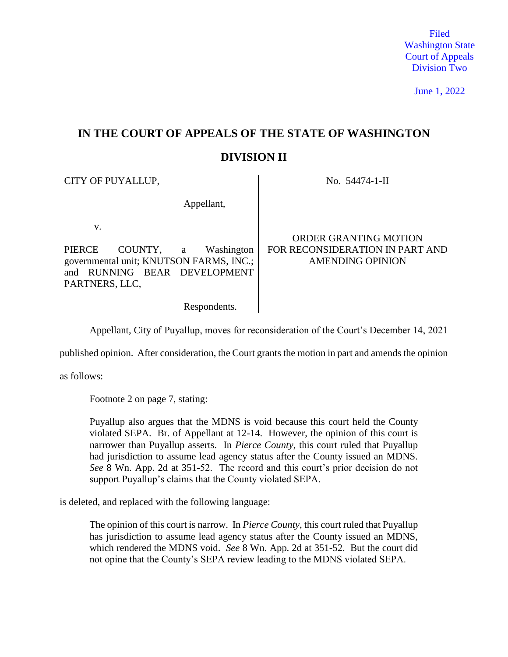Filed Washington State Court of Appeals Division Two

June 1, 2022

# **IN THE COURT OF APPEALS OF THE STATE OF WASHINGTON**

# **DIVISION II**

CITY OF PUYALLUP, No. 54474-1-II

| Appellant,                                                                                                                        |                                                                                            |
|-----------------------------------------------------------------------------------------------------------------------------------|--------------------------------------------------------------------------------------------|
| v.<br>COUNTY, a Washington<br>PIERCE<br>governmental unit; KNUTSON FARMS, INC.;<br>and RUNNING BEAR DEVELOPMENT<br>PARTNERS, LLC, | <b>ORDER GRANTING MOTION</b><br>FOR RECONSIDERATION IN PART AND<br><b>AMENDING OPINION</b> |
| Respondents.                                                                                                                      |                                                                                            |

Appellant, City of Puyallup, moves for reconsideration of the Court's December 14, 2021

published opinion. After consideration, the Court grants the motion in part and amends the opinion

as follows:

Footnote 2 on page 7, stating:

Puyallup also argues that the MDNS is void because this court held the County violated SEPA. Br. of Appellant at 12-14. However, the opinion of this court is narrower than Puyallup asserts. In *Pierce County*, this court ruled that Puyallup had jurisdiction to assume lead agency status after the County issued an MDNS. *See* 8 Wn. App. 2d at 351-52. The record and this court's prior decision do not support Puyallup's claims that the County violated SEPA.

is deleted, and replaced with the following language:

The opinion of this court is narrow. In *Pierce County*, this court ruled that Puyallup has jurisdiction to assume lead agency status after the County issued an MDNS, which rendered the MDNS void. *See* 8 Wn. App. 2d at 351-52. But the court did not opine that the County's SEPA review leading to the MDNS violated SEPA.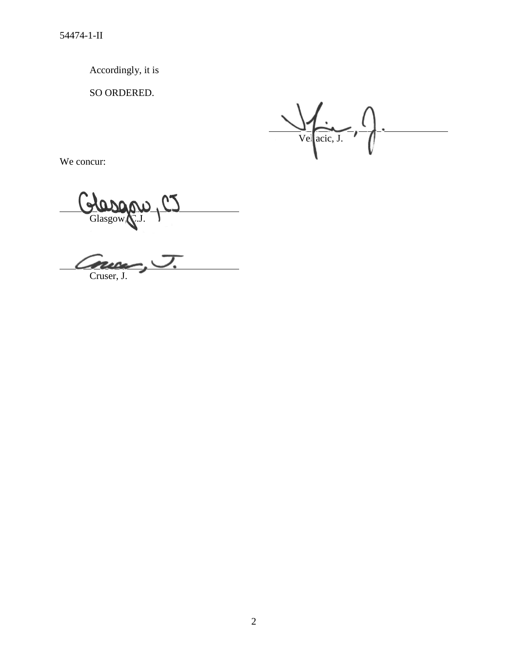Accordingly, it is

SO ORDERED.

Vel<br>acic, J.

We concur:

Clasgow, C.J. 9

Cnu Cruser, J.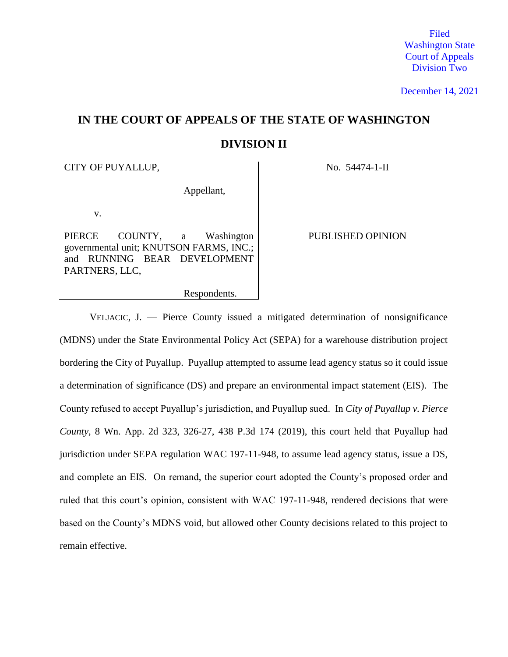Filed Washington State Court of Appeals Division Two

December 14, 2021

# **IN THE COURT OF APPEALS OF THE STATE OF WASHINGTON DIVISION II**

CITY OF PUYALLUP, No. 54474-1-II

Appellant,

v.

PIERCE COUNTY, a Washington governmental unit; KNUTSON FARMS, INC.; and RUNNING BEAR DEVELOPMENT PARTNERS, LLC,

PUBLISHED OPINION

Respondents.

VELJACIC, J. — Pierce County issued a mitigated determination of nonsignificance (MDNS) under the State Environmental Policy Act (SEPA) for a warehouse distribution project bordering the City of Puyallup. Puyallup attempted to assume lead agency status so it could issue a determination of significance (DS) and prepare an environmental impact statement (EIS). The County refused to accept Puyallup's jurisdiction, and Puyallup sued. In *City of Puyallup v. Pierce County*, 8 Wn. App. 2d 323, 326-27, 438 P.3d 174 (2019), this court held that Puyallup had jurisdiction under SEPA regulation WAC 197-11-948, to assume lead agency status, issue a DS, and complete an EIS. On remand, the superior court adopted the County's proposed order and ruled that this court's opinion, consistent with WAC 197-11-948, rendered decisions that were based on the County's MDNS void, but allowed other County decisions related to this project to remain effective.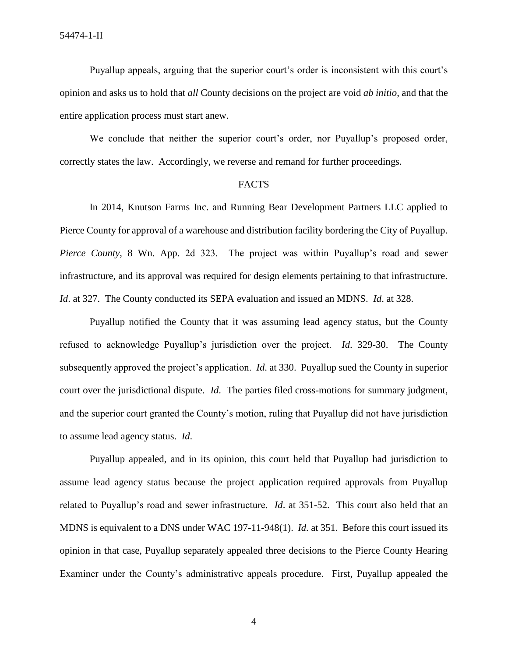Puyallup appeals, arguing that the superior court's order is inconsistent with this court's opinion and asks us to hold that *all* County decisions on the project are void *ab initio*, and that the entire application process must start anew.

We conclude that neither the superior court's order, nor Puyallup's proposed order, correctly states the law. Accordingly, we reverse and remand for further proceedings.

#### FACTS

In 2014, Knutson Farms Inc. and Running Bear Development Partners LLC applied to Pierce County for approval of a warehouse and distribution facility bordering the City of Puyallup. *Pierce County*, 8 Wn. App. 2d 323. The project was within Puyallup's road and sewer infrastructure, and its approval was required for design elements pertaining to that infrastructure. *Id*. at 327. The County conducted its SEPA evaluation and issued an MDNS. *Id*. at 328.

Puyallup notified the County that it was assuming lead agency status, but the County refused to acknowledge Puyallup's jurisdiction over the project. *Id*. 329-30. The County subsequently approved the project's application. *Id*. at 330. Puyallup sued the County in superior court over the jurisdictional dispute. *Id*. The parties filed cross-motions for summary judgment, and the superior court granted the County's motion, ruling that Puyallup did not have jurisdiction to assume lead agency status. *Id*.

Puyallup appealed, and in its opinion, this court held that Puyallup had jurisdiction to assume lead agency status because the project application required approvals from Puyallup related to Puyallup's road and sewer infrastructure. *Id*. at 351-52. This court also held that an MDNS is equivalent to a DNS under WAC 197-11-948(1). *Id*. at 351. Before this court issued its opinion in that case, Puyallup separately appealed three decisions to the Pierce County Hearing Examiner under the County's administrative appeals procedure. First, Puyallup appealed the

4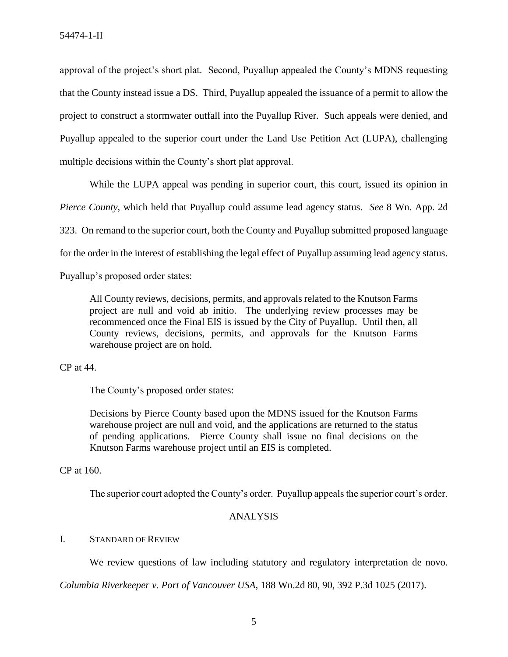approval of the project's short plat. Second, Puyallup appealed the County's MDNS requesting that the County instead issue a DS. Third, Puyallup appealed the issuance of a permit to allow the project to construct a stormwater outfall into the Puyallup River. Such appeals were denied, and Puyallup appealed to the superior court under the Land Use Petition Act (LUPA), challenging multiple decisions within the County's short plat approval.

While the LUPA appeal was pending in superior court, this court, issued its opinion in *Pierce County*, which held that Puyallup could assume lead agency status. *See* 8 Wn. App. 2d 323. On remand to the superior court, both the County and Puyallup submitted proposed language for the order in the interest of establishing the legal effect of Puyallup assuming lead agency status.

Puyallup's proposed order states:

All County reviews, decisions, permits, and approvals related to the Knutson Farms project are null and void ab initio. The underlying review processes may be recommenced once the Final EIS is issued by the City of Puyallup. Until then, all County reviews, decisions, permits, and approvals for the Knutson Farms warehouse project are on hold.

CP at 44.

The County's proposed order states:

Decisions by Pierce County based upon the MDNS issued for the Knutson Farms warehouse project are null and void, and the applications are returned to the status of pending applications. Pierce County shall issue no final decisions on the Knutson Farms warehouse project until an EIS is completed.

CP at 160.

The superior court adopted the County's order. Puyallup appeals the superior court's order.

### ANALYSIS

### I. STANDARD OF REVIEW

We review questions of law including statutory and regulatory interpretation de novo.

*Columbia Riverkeeper v. Port of Vancouver USA*, 188 Wn.2d 80, 90, 392 P.3d 1025 (2017).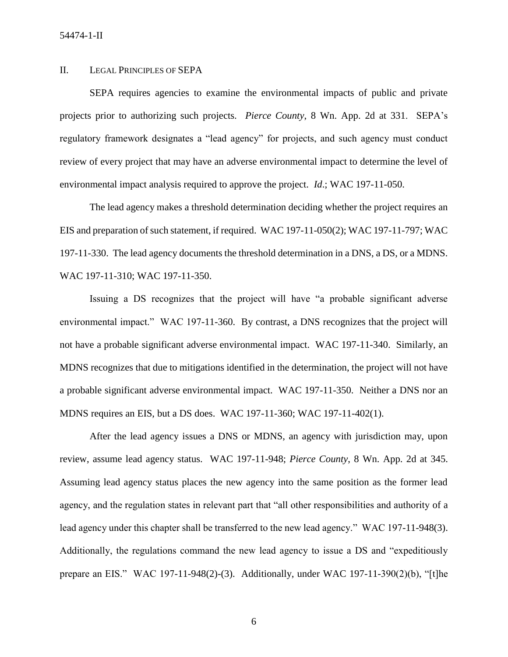#### II. LEGAL PRINCIPLES OF SEPA

SEPA requires agencies to examine the environmental impacts of public and private projects prior to authorizing such projects. *Pierce County*, 8 Wn. App. 2d at 331. SEPA's regulatory framework designates a "lead agency" for projects, and such agency must conduct review of every project that may have an adverse environmental impact to determine the level of environmental impact analysis required to approve the project. *Id*.; WAC 197-11-050.

The lead agency makes a threshold determination deciding whether the project requires an EIS and preparation of such statement, if required. WAC 197-11-050(2); WAC 197-11-797; WAC 197-11-330. The lead agency documents the threshold determination in a DNS, a DS, or a MDNS. WAC 197-11-310; WAC 197-11-350.

Issuing a DS recognizes that the project will have "a probable significant adverse environmental impact." WAC 197-11-360. By contrast, a DNS recognizes that the project will not have a probable significant adverse environmental impact. WAC 197-11-340. Similarly, an MDNS recognizes that due to mitigations identified in the determination, the project will not have a probable significant adverse environmental impact. WAC 197-11-350. Neither a DNS nor an MDNS requires an EIS, but a DS does. WAC 197-11-360; WAC 197-11-402(1).

After the lead agency issues a DNS or MDNS, an agency with jurisdiction may, upon review, assume lead agency status. WAC 197-11-948; *Pierce County*, 8 Wn. App. 2d at 345. Assuming lead agency status places the new agency into the same position as the former lead agency, and the regulation states in relevant part that "all other responsibilities and authority of a lead agency under this chapter shall be transferred to the new lead agency." WAC 197-11-948(3). Additionally, the regulations command the new lead agency to issue a DS and "expeditiously prepare an EIS." WAC 197-11-948(2)-(3). Additionally, under WAC 197-11-390(2)(b), "[t]he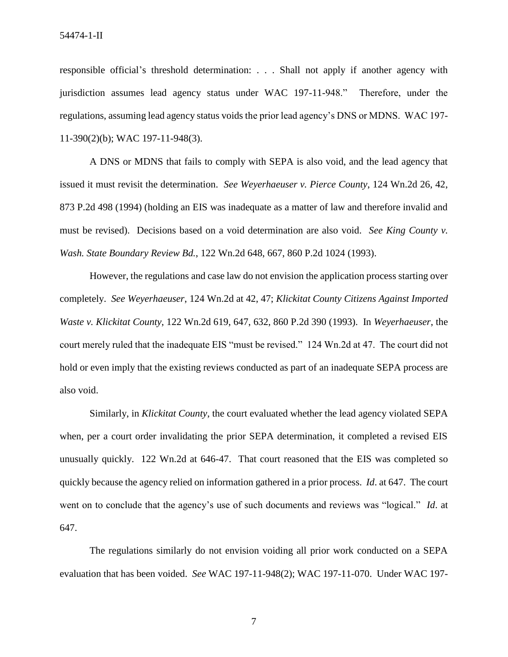54474-1-II

responsible official's threshold determination: . . . Shall not apply if another agency with jurisdiction assumes lead agency status under WAC 197-11-948." Therefore, under the regulations, assuming lead agency status voids the prior lead agency's DNS or MDNS. WAC 197- 11-390(2)(b); WAC 197-11-948(3).

A DNS or MDNS that fails to comply with SEPA is also void, and the lead agency that issued it must revisit the determination. *See Weyerhaeuser v. Pierce County*, 124 Wn.2d 26, 42, 873 P.2d 498 (1994) (holding an EIS was inadequate as a matter of law and therefore invalid and must be revised). Decisions based on a void determination are also void. *See King County v. Wash. State Boundary Review Bd.*, 122 Wn.2d 648, 667, 860 P.2d 1024 (1993).

However, the regulations and case law do not envision the application process starting over completely. *See Weyerhaeuser*, 124 Wn.2d at 42, 47; *Klickitat County Citizens Against Imported Waste v. Klickitat County*, 122 Wn.2d 619, 647, 632, 860 P.2d 390 (1993). In *Weyerhaeuser*, the court merely ruled that the inadequate EIS "must be revised." 124 Wn.2d at 47. The court did not hold or even imply that the existing reviews conducted as part of an inadequate SEPA process are also void.

Similarly, in *Klickitat County*, the court evaluated whether the lead agency violated SEPA when, per a court order invalidating the prior SEPA determination, it completed a revised EIS unusually quickly. 122 Wn.2d at 646-47. That court reasoned that the EIS was completed so quickly because the agency relied on information gathered in a prior process. *Id*. at 647. The court went on to conclude that the agency's use of such documents and reviews was "logical." *Id*. at 647.

The regulations similarly do not envision voiding all prior work conducted on a SEPA evaluation that has been voided. *See* WAC 197-11-948(2); WAC 197-11-070. Under WAC 197-

7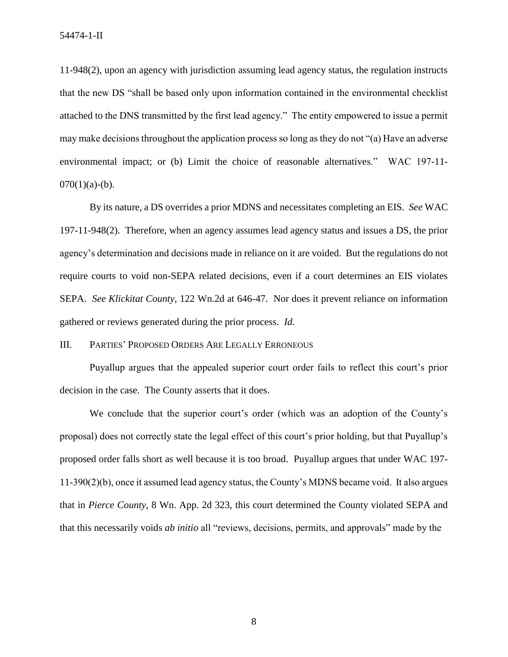11-948(2), upon an agency with jurisdiction assuming lead agency status, the regulation instructs that the new DS "shall be based only upon information contained in the environmental checklist attached to the DNS transmitted by the first lead agency." The entity empowered to issue a permit may make decisions throughout the application process so long as they do not "(a) Have an adverse environmental impact; or (b) Limit the choice of reasonable alternatives." WAC 197-11-  $070(1)(a)-(b)$ .

By its nature, a DS overrides a prior MDNS and necessitates completing an EIS. *See* WAC 197-11-948(2). Therefore, when an agency assumes lead agency status and issues a DS, the prior agency's determination and decisions made in reliance on it are voided. But the regulations do not require courts to void non-SEPA related decisions, even if a court determines an EIS violates SEPA. *See Klickitat County*, 122 Wn.2d at 646-47. Nor does it prevent reliance on information gathered or reviews generated during the prior process. *Id*.

III. PARTIES' PROPOSED ORDERS ARE LEGALLY ERRONEOUS

Puyallup argues that the appealed superior court order fails to reflect this court's prior decision in the case. The County asserts that it does.

We conclude that the superior court's order (which was an adoption of the County's proposal) does not correctly state the legal effect of this court's prior holding, but that Puyallup's proposed order falls short as well because it is too broad. Puyallup argues that under WAC 197- 11-390(2)(b), once it assumed lead agency status, the County's MDNS became void. It also argues that in *Pierce County*, 8 Wn. App. 2d 323, this court determined the County violated SEPA and that this necessarily voids *ab initio* all "reviews, decisions, permits, and approvals" made by the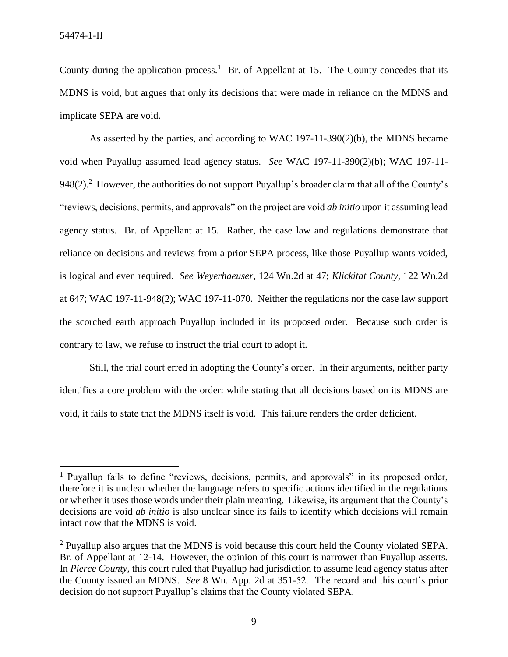l

County during the application process.<sup>1</sup> Br. of Appellant at 15. The County concedes that its MDNS is void, but argues that only its decisions that were made in reliance on the MDNS and implicate SEPA are void.

As asserted by the parties, and according to WAC 197-11-390(2)(b), the MDNS became void when Puyallup assumed lead agency status. *See* WAC 197-11-390(2)(b); WAC 197-11- 948(2).<sup>2</sup> However, the authorities do not support Puyallup's broader claim that all of the County's "reviews, decisions, permits, and approvals" on the project are void *ab initio* upon it assuming lead agency status. Br. of Appellant at 15. Rather, the case law and regulations demonstrate that reliance on decisions and reviews from a prior SEPA process, like those Puyallup wants voided, is logical and even required. *See Weyerhaeuser*, 124 Wn.2d at 47; *Klickitat County*, 122 Wn.2d at 647; WAC 197-11-948(2); WAC 197-11-070. Neither the regulations nor the case law support the scorched earth approach Puyallup included in its proposed order. Because such order is contrary to law, we refuse to instruct the trial court to adopt it.

Still, the trial court erred in adopting the County's order. In their arguments, neither party identifies a core problem with the order: while stating that all decisions based on its MDNS are void, it fails to state that the MDNS itself is void. This failure renders the order deficient.

<sup>&</sup>lt;sup>1</sup> Puyallup fails to define "reviews, decisions, permits, and approvals" in its proposed order, therefore it is unclear whether the language refers to specific actions identified in the regulations or whether it uses those words under their plain meaning. Likewise, its argument that the County's decisions are void *ab initio* is also unclear since its fails to identify which decisions will remain intact now that the MDNS is void.

 $2$  Puyallup also argues that the MDNS is void because this court held the County violated SEPA. Br. of Appellant at 12-14. However, the opinion of this court is narrower than Puyallup asserts. In *Pierce County*, this court ruled that Puyallup had jurisdiction to assume lead agency status after the County issued an MDNS. *See* 8 Wn. App. 2d at 351-52. The record and this court's prior decision do not support Puyallup's claims that the County violated SEPA.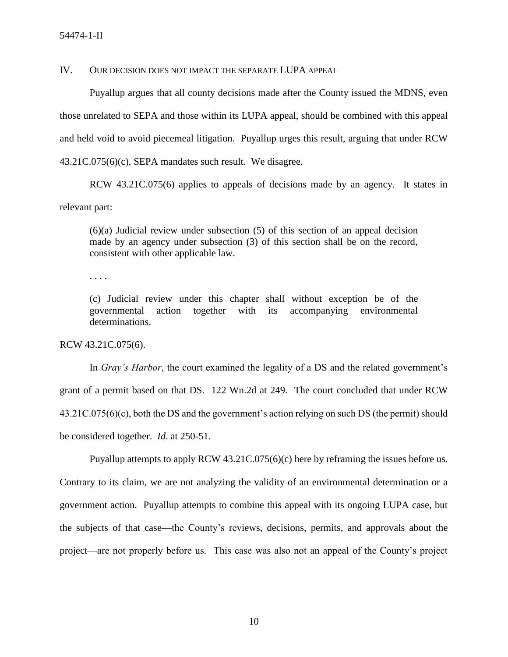## IV. OUR DECISION DOES NOT IMPACT THE SEPARATE LUPA APPEAL

Puyallup argues that all county decisions made after the County issued the MDNS, even those unrelated to SEPA and those within its LUPA appeal, should be combined with this appeal and held void to avoid piecemeal litigation. Puyallup urges this result, arguing that under RCW 43.21C.075(6)(c), SEPA mandates such result. We disagree.

RCW 43.21C.075(6) applies to appeals of decisions made by an agency. It states in relevant part:

(6)(a) Judicial review under subsection (5) of this section of an appeal decision made by an agency under subsection (3) of this section shall be on the record, consistent with other applicable law.

. . . .

(c) Judicial review under this chapter shall without exception be of the governmental action together with its accompanying environmental determinations.

RCW 43.21C.075(6).

In *Gray's Harbor*, the court examined the legality of a DS and the related government's grant of a permit based on that DS.122 Wn.2d at 249. The court concluded that under RCW 43.21C.075(6)(c), both the DS and the government's action relying on such DS (the permit) should be considered together. *Id*. at 250-51.

Puyallup attempts to apply RCW 43.21C.075(6)(c) here by reframing the issues before us. Contrary to its claim, we are not analyzing the validity of an environmental determination or a government action. Puyallup attempts to combine this appeal with its ongoing LUPA case, but the subjects of that case—the County's reviews, decisions, permits, and approvals about the project—are not properly before us. This case was also not an appeal of the County's project